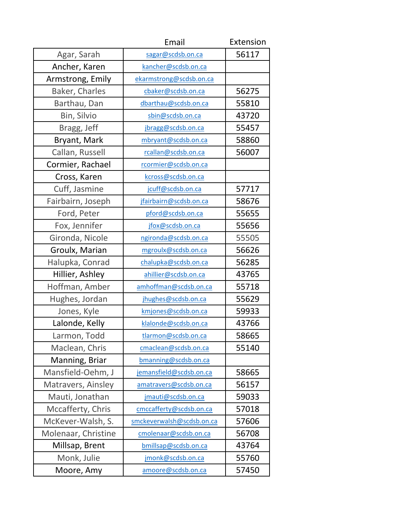|                       | Email                     | Extension |
|-----------------------|---------------------------|-----------|
| Agar, Sarah           | sagar@scdsb.on.ca         | 56117     |
| Ancher, Karen         | kancher@scdsb.on.ca       |           |
| Armstrong, Emily      | ekarmstrong@scdsb.on.ca   |           |
| <b>Baker, Charles</b> | cbaker@scdsb.on.ca        | 56275     |
| Barthau, Dan          | dbarthau@scdsb.on.ca      | 55810     |
| Bin, Silvio           | sbin@scdsb.on.ca          | 43720     |
| Bragg, Jeff           | jbragg@scdsb.on.ca        | 55457     |
| Bryant, Mark          | mbryant@scdsb.on.ca       | 58860     |
| Callan, Russell       | rcallan@scdsb.on.ca       | 56007     |
| Cormier, Rachael      | rcormier@scdsb.on.ca      |           |
| Cross, Karen          | kcross@scdsb.on.ca        |           |
| Cuff, Jasmine         | jcuff@scdsb.on.ca         | 57717     |
| Fairbairn, Joseph     | jfairbairn@scdsb.on.ca    | 58676     |
| Ford, Peter           | pford@scdsb.on.ca         | 55655     |
| Fox, Jennifer         | jfox@scdsb.on.ca          | 55656     |
| Gironda, Nicole       | ngironda@scdsb.on.ca      | 55505     |
| Groulx, Marian        | mgroulx@scdsb.on.ca       | 56626     |
| Halupka, Conrad       | chalupka@scdsb.on.ca      | 56285     |
| Hillier, Ashley       | ahillier@scdsb.on.ca      | 43765     |
| Hoffman, Amber        | amhoffman@scdsb.on.ca     | 55718     |
| Hughes, Jordan        | jhughes@scdsb.on.ca       | 55629     |
| Jones, Kyle           | kmjones@scdsb.on.ca       | 59933     |
| Lalonde, Kelly        | klalonde@scdsb.on.ca      | 43766     |
| Larmon, Todd          | tlarmon@scdsb.on.ca       | 58665     |
| Maclean, Chris        | cmaclean@scdsb.on.ca      | 55140     |
| Manning, Briar        | bmanning@scdsb.on.ca      |           |
| Mansfield-Oehm, J     | jemansfield@scdsb.on.ca   | 58665     |
| Matravers, Ainsley    | amatravers@scdsb.on.ca    | 56157     |
| Mauti, Jonathan       | jmauti@scdsb.on.ca        | 59033     |
| Mccafferty, Chris     | cmccafferty@scdsb.on.ca   | 57018     |
| McKever-Walsh, S.     | smckeverwalsh@scdsb.on.ca | 57606     |
| Molenaar, Christine   | cmolenaar@scdsb.on.ca     | 56708     |
| Millsap, Brent        | bmillsap@scdsb.on.ca      | 43764     |
| Monk, Julie           | jmonk@scdsb.on.ca         | 55760     |
| Moore, Amy            | amoore@scdsb.on.ca        | 57450     |